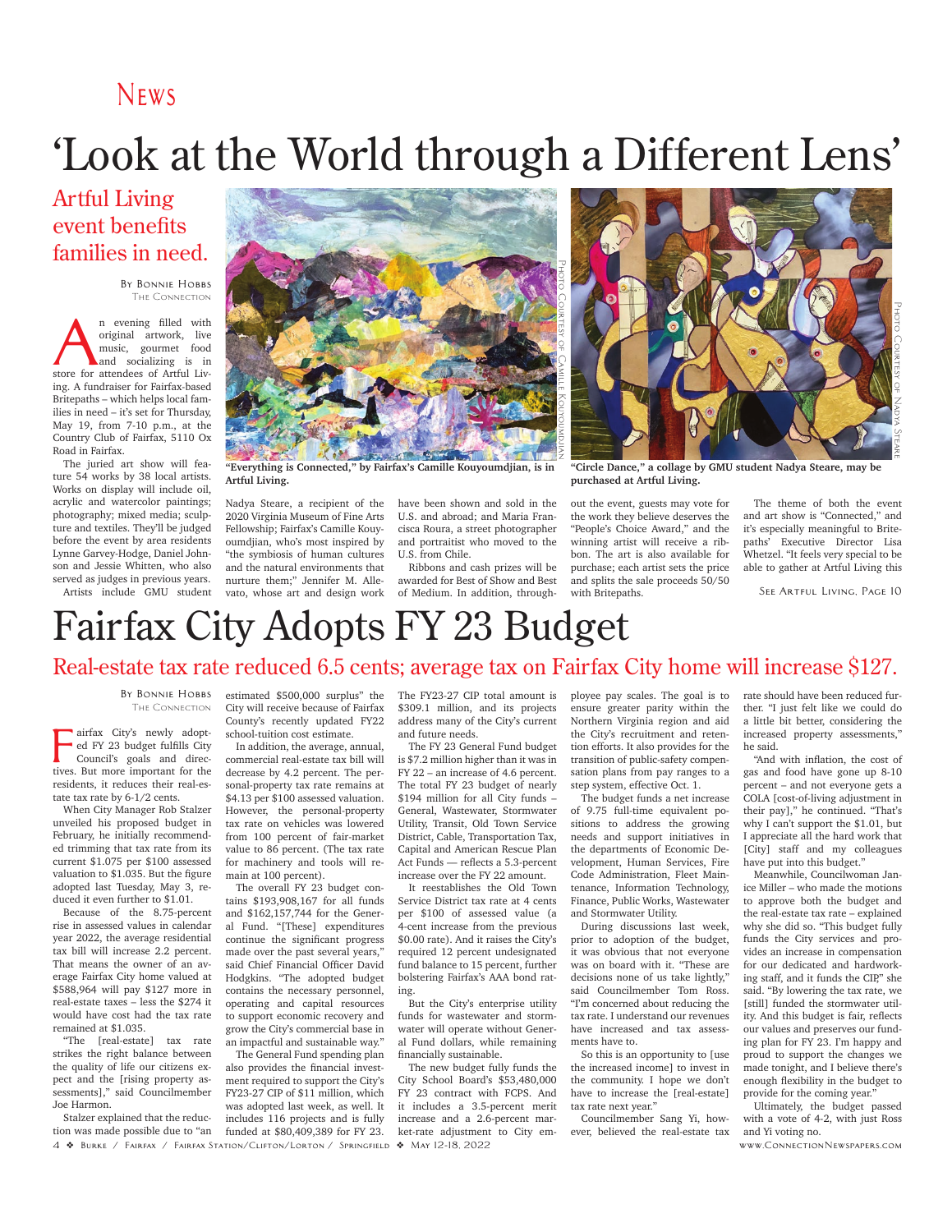#### **News**

# 'Look at the World through a Different Lens'

#### Artful Living event benefits families in need.

**By Bonnie Hobbs** The Connection

**A**n evening filled with original artwork, live music, gourmet food and socializing is in store for attendees of Artful Livoriginal artwork, live music, gourmet food and socializing is in ing. A fundraiser for Fairfax-based Britepaths – which helps local families in need – it's set for Thursday, May 19, from 7-10 p.m., at the Country Club of Fairfax, 5110 Ox Road in Fairfax.

The juried art show will feature 54 works by 38 local artists. Works on display will include oil, acrylic and watercolor paintings; photography; mixed media; sculpture and textiles. They'll be judged before the event by area residents Lynne Garvey-Hodge, Daniel Johnson and Jessie Whitten, who also served as judges in previous years. Artists include GMU student



**"Everything is Connected," by Fairfax's Camille Kouyoumdjian, is in Artful Living.**

Nadya Steare, a recipient of the 2020 Virginia Museum of Fine Arts Fellowship; Fairfax's Camille Kouyoumdjian, who's most inspired by "the symbiosis of human cultures and the natural environments that nurture them;" Jennifer M. Allevato, whose art and design work have been shown and sold in the U.S. and abroad; and Maria Francisca Roura, a street photographer and portraitist who moved to the U.S. from Chile.

Ribbons and cash prizes will be awarded for Best of Show and Best of Medium. In addition, through-



**"Circle Dance," a collage by GMU student Nadya Steare, may be purchased at Artful Living.**

out the event, guests may vote for the work they believe deserves the "People's Choice Award," and the winning artist will receive a ribbon. The art is also available for purchase; each artist sets the price and splits the sale proceeds 50/50 with Britepaths.

The theme of both the event and art show is "Connected," and it's especially meaningful to Britepaths' Executive Director Lisa Whetzel. "It feels very special to be able to gather at Artful Living this

**See Artful Living, Page 10**

## Fairfax City Adopts FY 23 Budget

#### Real-estate tax rate reduced 6.5 cents; average tax on Fairfax City home will increase \$127.

**By Bonnie Hobbs** The Connection

airfax City's newly adopted FY 23 budget fulfills City Council's goals and directives. But more important for the residents, it reduces their real-estate tax rate by 6-1/2 cents.

When City Manager Rob Stalzer unveiled his proposed budget in February, he initially recommended trimming that tax rate from its current \$1.075 per \$100 assessed valuation to \$1.035. But the figure adopted last Tuesday, May 3, reduced it even further to \$1.01.

Because of the 8.75-percent rise in assessed values in calendar year 2022, the average residential tax bill will increase 2.2 percent. That means the owner of an average Fairfax City home valued at \$588,964 will pay \$127 more in real-estate taxes – less the \$274 it would have cost had the tax rate remained at \$1.035.

"The [real-estate] tax rate strikes the right balance between the quality of life our citizens expect and the [rising property assessments]," said Councilmember Joe Harmon.

Stalzer explained that the reduction was made possible due to "an estimated \$500,000 surplus" the City will receive because of Fairfax County's recently updated FY22 school-tuition cost estimate.

In addition, the average, annual, commercial real-estate tax bill will decrease by 4.2 percent. The personal-property tax rate remains at \$4.13 per \$100 assessed valuation. However, the personal-property tax rate on vehicles was lowered from 100 percent of fair-market value to 86 percent. (The tax rate for machinery and tools will remain at 100 percent).

The overall FY 23 budget contains \$193,908,167 for all funds and \$162,157,744 for the General Fund. "[These] expenditures continue the significant progress made over the past several years," said Chief Financial Officer David Hodgkins. "The adopted budget contains the necessary personnel, operating and capital resources to support economic recovery and grow the City's commercial base in an impactful and sustainable way."

The General Fund spending plan also provides the financial investment required to support the City's FY23-27 CIP of \$11 million, which was adopted last week, as well. It includes 116 projects and is fully funded at \$80,409,389 for FY 23.

The FY23-27 CIP total amount is \$309.1 million, and its projects address many of the City's current and future needs.

The FY 23 General Fund budget is \$7.2 million higher than it was in FY 22 – an increase of 4.6 percent. The total FY 23 budget of nearly \$194 million for all City funds – General, Wastewater, Stormwater Utility, Transit, Old Town Service District, Cable, Transportation Tax, Capital and American Rescue Plan Act Funds –– reflects a 5.3-percent increase over the FY 22 amount.

It reestablishes the Old Town Service District tax rate at 4 cents per \$100 of assessed value (a 4-cent increase from the previous \$0.00 rate). And it raises the City's required 12 percent undesignated fund balance to 15 percent, further bolstering Fairfax's AAA bond rating.

But the City's enterprise utility funds for wastewater and stormwater will operate without General Fund dollars, while remaining financially sustainable.

**4** v **Burke / Fairfax / Fairfax Station/Clifton/Lorton / Springfield** v **May 12-18, 2022 www.ConnectionNewspapers.com** The new budget fully funds the City School Board's \$53,480,000 FY 23 contract with FCPS. And it includes a 3.5-percent merit increase and a 2.6-percent market-rate adjustment to City em-

ployee pay scales. The goal is to ensure greater parity within the Northern Virginia region and aid the City's recruitment and retention efforts. It also provides for the transition of public-safety compensation plans from pay ranges to a step system, effective Oct. 1.

The budget funds a net increase of 9.75 full-time equivalent positions to address the growing needs and support initiatives in the departments of Economic Development, Human Services, Fire Code Administration, Fleet Maintenance, Information Technology, Finance, Public Works, Wastewater and Stormwater Utility.

During discussions last week, prior to adoption of the budget, it was obvious that not everyone was on board with it. "These are decisions none of us take lightly," said Councilmember Tom Ross. "I'm concerned about reducing the tax rate. I understand our revenues have increased and tax assessments have to.

So this is an opportunity to [use the increased income] to invest in the community. I hope we don't have to increase the [real-estate] tax rate next year."

Councilmember Sang Yi, however, believed the real-estate tax rate should have been reduced further. "I just felt like we could do a little bit better, considering the increased property assessments," he said.

"And with inflation, the cost of gas and food have gone up 8-10 percent – and not everyone gets a COLA [cost-of-living adjustment in their pay]," he continued. "That's why I can't support the \$1.01, but I appreciate all the hard work that [City] staff and my colleagues have put into this budget."

Meanwhile, Councilwoman Janice Miller – who made the motions to approve both the budget and the real-estate tax rate – explained why she did so. "This budget fully funds the City services and provides an increase in compensation for our dedicated and hardworking staff, and it funds the CIP," she said. "By lowering the tax rate, we [still] funded the stormwater utility. And this budget is fair, reflects our values and preserves our funding plan for FY 23. I'm happy and proud to support the changes we made tonight, and I believe there's enough flexibility in the budget to provide for the coming year."

Ultimately, the budget passed with a vote of 4-2, with just Ross and Yi voting no.